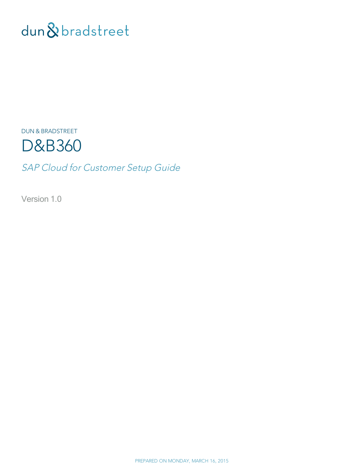# dun & bradstreet

DUN & BRADSTREET



SAP Cloud for Customer Setup Guide

Version 1.0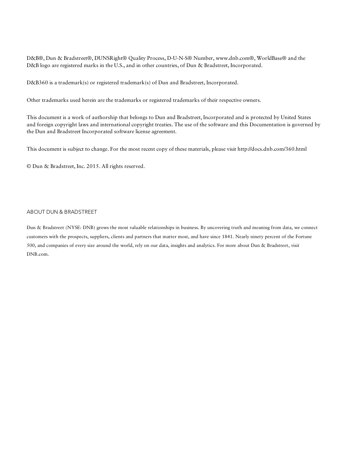D&B®, Dun & Bradstreet®, DUNSRight® Quality Process, D-U-N-S® Number, www.dnb.com®, WorldBase® and the D&B logo are registered marks in the U.S., and in other countries, of Dun & Bradstreet, Incorporated.

D&B360 is a trademark(s) or registered trademark(s) of Dun and Bradstreet, Incorporated.

Other trademarks used herein are the trademarks or registered trademarks of their respective owners.

This document is a work of authorship that belongs to Dun and Bradstreet, Incorporated and is protected by United States and foreign copyright laws and international copyright treaties. The use of the software and this Documentation is governed by the Dun and Bradstreet Incorporated software license agreement.

This document is subject to change. For the most recent copy of these materials, please visit http://docs.dnb.com/360.html

© Dun & Bradstreet, Inc. 2015. All rights reserved.

#### ABOUT DUN & BRADSTREET

Dun & Bradstreet (NYSE: DNB) grows the most valuable relationships in business. By uncovering truth and meaning from data, we connect customers with the prospects, suppliers, clients and partners that matter most, and have since 1841. Nearly ninety percent of the Fortune 500, and companies of every size around the world, rely on our data, insights and analytics. For more about Dun & Bradstreet, visit DNB.com.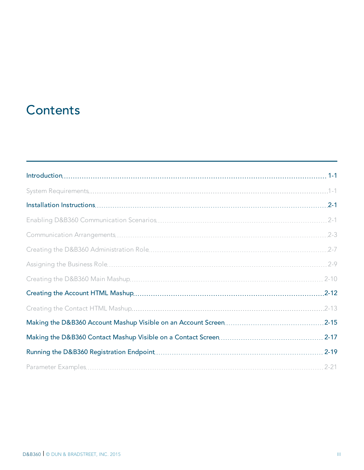## **Contents**

| $2 - 1$   |
|-----------|
| $.2 - 3$  |
|           |
|           |
|           |
|           |
| $.2 - 13$ |
|           |
|           |
|           |
|           |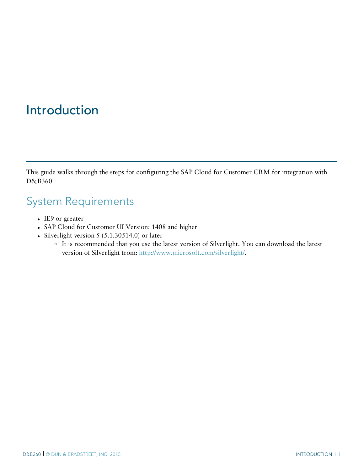## <span id="page-3-0"></span>Introduction

<span id="page-3-1"></span>This guide walks through the steps for configuring the SAP Cloud for Customer CRM for integration with D&B360.

#### System Requirements

- $\cdot$  IE9 or greater
- SAP Cloud for Customer UI Version: 1408 and higher
- Silverlight version  $5$  (5.1.30514.0) or later
	- <sup>o</sup> It is recommended that you use the latest version of Silverlight. You can download the latest version of Silverlight from: [http://www.microsoft.com/silverlight/.](http://www.microsoft.com/silverlight/)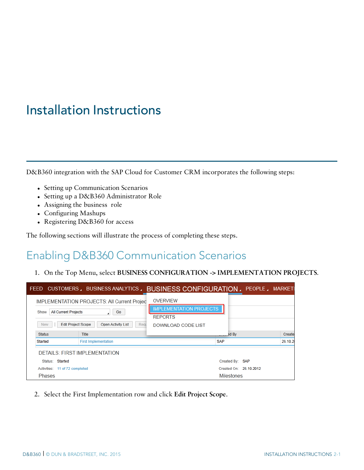## <span id="page-4-0"></span>Installation Instructions

D&B360 integration with the SAP Cloud for Customer CRM incorporates the following steps:

- Setting up Communication Scenarios
- Setting up a D&B360 Administrator Role
- Assigning the business role
- Configuring Mashups
- Registering D&B360 for access

<span id="page-4-1"></span>The following sections will illustrate the process of completing these steps.

### Enabling D&B360 Communication Scenarios

1. On the Top Menu, select **BUSINESS CONFIGURATION -> IMPLEMENTATION PROJECTS**.

|                                                                                | FEED CUSTOMERS, BUSINESS ANALYTICS, BUSINESS CONFIGURATION, PEOPLE, MARKETI             |                                                                                           |                        |         |
|--------------------------------------------------------------------------------|-----------------------------------------------------------------------------------------|-------------------------------------------------------------------------------------------|------------------------|---------|
| <b>All Current Projects</b><br>Show<br><b>Edit Project Scope</b><br><b>New</b> | <b>IMPLEMENTATION PROJECTS: All Current Project</b><br>Go<br>Open Activity List<br>Requ | <b>OVERVIEW</b><br><b>IMPLEMENTATION PROJECTS</b><br><b>REPORTS</b><br>DOWNLOAD CODE LIST |                        |         |
| <b>Status</b>                                                                  | <b>Title</b>                                                                            |                                                                                           | $\frac{3}{2}$ d By     | Create  |
| Started                                                                        | <b>First Implementation</b>                                                             |                                                                                           | <b>SAP</b>             | 26.10.2 |
| Status: Started                                                                | <b>DETAILS: FIRST IMPLEMENTATION</b>                                                    |                                                                                           | Created By: SAP        |         |
| Activities: 11 of 72 completed                                                 |                                                                                         |                                                                                           | Created On: 26.10.2012 |         |
| Phases                                                                         |                                                                                         |                                                                                           | <b>Milestones</b>      |         |

2. Select the First Implementation row and click **Edit Project Scope**.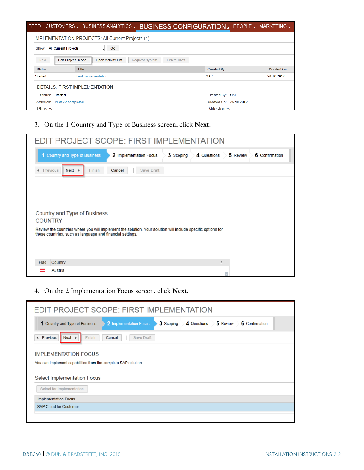| <b>FEED</b>                         |                                                                          | CUSTOMERS, BUSINESS ANALYTICS, BUSINESS CONFIGURATION, PEOPLE, MARKETING, |                   |
|-------------------------------------|--------------------------------------------------------------------------|---------------------------------------------------------------------------|-------------------|
|                                     | <b>IMPLEMENTATION PROJECTS: All Current Projects (1)</b>                 |                                                                           |                   |
| <b>All Current Projects</b><br>Show | Go                                                                       |                                                                           |                   |
| New                                 | <b>Edit Project Scope</b><br>Open Activity List<br><b>Request System</b> | Delete Draft                                                              |                   |
| <b>Status</b>                       | <b>Title</b>                                                             | <b>Created By</b>                                                         | <b>Created On</b> |
| Started                             | <b>First Implementation</b>                                              | <b>SAP</b>                                                                | 26.10.2012        |
|                                     | DETAILS: FIRST IMPLEMENTATION                                            |                                                                           |                   |
| Status: Started                     |                                                                          | Created By: SAP                                                           |                   |
| Activities: 11 of 72 completed      |                                                                          | Created On: 26.10.2012                                                    |                   |
| <b>Phases</b>                       |                                                                          | <b>Milestones</b>                                                         |                   |

3. On the 1 Country and Type of Business screen, click **Next**.

|                | <b>EDIT PROJECT SCOPE: FIRST IMPLEMENTATION</b>                                                             |                        |           |                   |          |                |
|----------------|-------------------------------------------------------------------------------------------------------------|------------------------|-----------|-------------------|----------|----------------|
|                | 1 Country and Type of Business                                                                              | 2 Implementation Focus | 3 Scoping | 4 Questions       | 5 Review | 6 Confirmation |
| « Previous     | $Next$ ><br>Finish                                                                                          | Save Draft<br>Cancel   |           |                   |          |                |
|                |                                                                                                             |                        |           |                   |          |                |
|                |                                                                                                             |                        |           |                   |          |                |
|                | Country and Type of Business                                                                                |                        |           |                   |          |                |
| <b>COUNTRY</b> | Review the countries where you will implement the solution. Your solution will include specific options for |                        |           |                   |          |                |
|                | these countries, such as language and financial settings.                                                   |                        |           |                   |          |                |
|                |                                                                                                             |                        |           |                   |          |                |
| Flag           | Country                                                                                                     |                        |           | $\stackrel{.}{=}$ |          |                |
|                | Austria                                                                                                     |                        |           |                   |          |                |

4. On the 2 Implementation Focus screen, click **Next**.

| EDIT PROJECT SCOPE: FIRST IMPLEMENTATION                       |                        |           |             |          |                |  |
|----------------------------------------------------------------|------------------------|-----------|-------------|----------|----------------|--|
| 1 Country and Type of Business                                 | 2 Implementation Focus | 3 Scoping | 4 Questions | 5 Review | 6 Confirmation |  |
| Previous<br>$Next$ ><br>Finish<br>∢                            | Cancel<br>Save Draft   |           |             |          |                |  |
| <b>IMPLEMENTATION FOCUS</b>                                    |                        |           |             |          |                |  |
| You can implement capabilities from the complete SAP solution. |                        |           |             |          |                |  |
| Select Implementation Focus                                    |                        |           |             |          |                |  |
| Select for Implementation                                      |                        |           |             |          |                |  |
| <b>Implementation Focus</b>                                    |                        |           |             |          |                |  |
| <b>SAP Cloud for Customer</b>                                  |                        |           |             |          |                |  |
|                                                                |                        |           |             |          |                |  |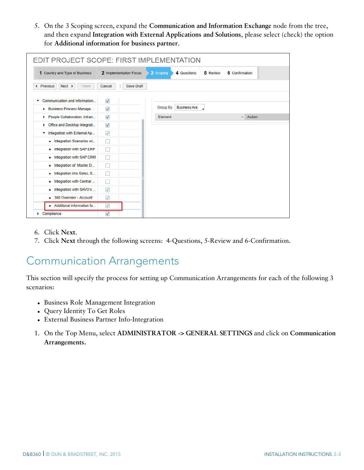5. On the 3 Scoping screen, expand the **Communication and Information Exchange** node from the tree, and then expand **Integration with External Applications and Solutions**, please select (check) the option for **Additional information for business partner**.

| EDIT PROJECT SCOPE: FIRST IMPLEMENTATION   |                         |                                        |                            |
|--------------------------------------------|-------------------------|----------------------------------------|----------------------------|
| 1 Country and Type of Business             | 2 Implementation Focus  | 3 Scoping<br>4 Questions               | 6 Confirmation<br>5 Review |
| « Previous<br>$Next$ ><br>Finish           | Save Draft<br>Cancel    |                                        |                            |
| Communication and Information<br>▼         | $\checkmark$            |                                        |                            |
| <b>Business Process Manage</b><br>Þ        | $\checkmark$            | <b>Business Are</b><br><b>Group By</b> |                            |
| People Collaboration, Intran<br>Þ.         | $\checkmark$            | Element                                | Action<br>$\equiv$         |
| Office and Desktop Integrati<br>Þ          | $\sqrt{}$               |                                        |                            |
| Integration with External Ap<br>٠          | $\overline{\mathsf{v}}$ |                                        |                            |
| Integration Scenarios wi<br>٠              |                         |                                        |                            |
| Integration with SAP ERP<br>٠              |                         |                                        |                            |
| Integration with SAP CRM<br>$\blacksquare$ |                         |                                        |                            |
| Integration of Master D<br>$\blacksquare$  |                         |                                        |                            |
| Integration into Sales, S<br>٠             |                         |                                        |                            |
| Integration with Central<br>$\blacksquare$ |                         |                                        |                            |
| Integration with SAVO's<br>$\blacksquare$  | $\overline{\mathsf{v}}$ |                                        |                            |
| 360 Overview - Account<br>٠                | $\blacktriangledown$    |                                        |                            |
| Additional information fo                  | ⊽                       |                                        |                            |
| Compliance                                 | $\sqrt{}$               |                                        |                            |

- 6. Click **Next**.
- <span id="page-6-0"></span>7. Click **Next** through the following screens: 4-Questions, 5-Review and 6-Confirmation.

### Communication Arrangements

This section will specify the process for setting up Communication Arrangements for each of the following 3 scenarios:

- Business Role Management Integration
- Query Identity To Get Roles
- External Business Partner Info-Integration
- 1. On the Top Menu, select **ADMINISTRATOR -> GENERAL SETTINGS** and click on **Communication Arrangements.**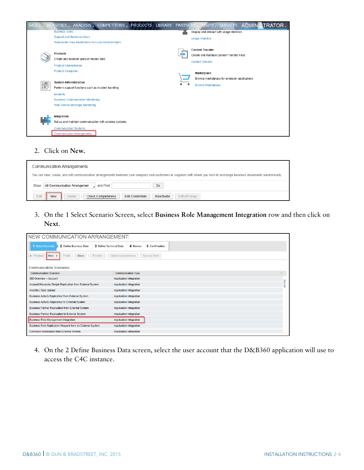

#### 2. Click on **New.**

| <b>Communication Arrangements</b>                                                                                                                                           |
|-----------------------------------------------------------------------------------------------------------------------------------------------------------------------------|
| You can view, create, and edit communication arrangements between your company and customers or suppliers with whom you wish to exchange business documents electronically. |
| All Communication Arrangemen<br>and Find<br>Go<br>Show                                                                                                                      |
| Edit<br>Edit API Kevs<br><b>Check Completeness</b><br><b>Edit Credentials</b><br>Reactivate<br><b>New</b><br><b>Delete</b>                                                  |

3. On the 1 Select Scenario Screen, select **Business Role Management Integration** row and then click on **Next**.

| NEW COMMUNICATION ARRANGEMENT:                                         |                                            |    |
|------------------------------------------------------------------------|--------------------------------------------|----|
| 1 Select Scenario<br>2 Define Business Data<br>3 Define Technical Data | 5 Confirmation<br>4 Review                 |    |
| Close<br>« Previous<br>$Next$ ><br>Finish<br>Preview                   | <b>Check Completeness</b><br>Save as Draft |    |
| <b>Communication Scenarios</b>                                         |                                            |    |
| <b>Communication Scenario</b>                                          | <b>Communication Type</b>                  | A. |
| 360 Overview - Account                                                 | <b>Application Integration</b>             |    |
| Account Hierarchy Simple Replication from External System              | <b>Application Integration</b>             |    |
| <b>Analytics Data Upload</b>                                           | Application Integration                    |    |
| Business Activity Replication from External System                     | <b>Application Integration</b>             |    |
| Business Activity Replication to External System                       | Application Integration                    |    |
| Business Partner Replication from External System                      | Application Integration                    |    |
| Business Partner Replication to External System                        | <b>Application Integration</b>             |    |
| <b>Business Role Management Integration</b>                            | <b>Application Integration</b>             |    |
| Business Role Replication Request from an External System              | Application Integration                    |    |
| <b>Campaign Replication from External System</b>                       | <b>Application Integration</b>             |    |

4. On the 2 Define Business Data screen, select the user account that the D&B360 application will use to access the C4C instance.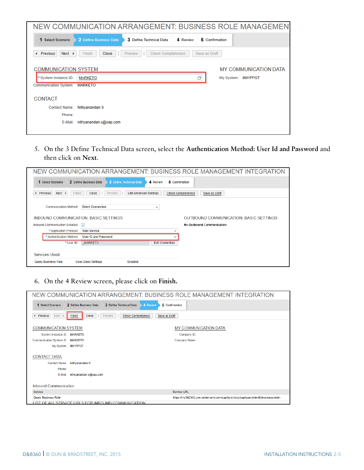|                              | NEW COMMUNICATION ARRANGEMENT: BUSINESS ROLE MANAGEMENT        |                |                       |
|------------------------------|----------------------------------------------------------------|----------------|-----------------------|
| 1 Select Scenario            | 2 Define Business Data<br>3 Define Technical Data<br>4 Review  | 5 Confirmation |                       |
| « Previous<br>$Next$ >       | <b>Check Completeness</b><br><b>Close</b><br>Preview<br>Finish | Save as Draft  |                       |
| <b>COMMUNICATION SYSTEM</b>  |                                                                |                | MY COMMUNICATION DATA |
| System Instance ID:          | <b>MARKETO</b>                                                 | Ā              | My System: 0M1PPGT    |
| <b>Communication System:</b> | <b>MARKETO</b>                                                 |                |                       |
| <b>CONTACT</b>               |                                                                |                |                       |
| <b>Contact Name:</b>         | Nithyanandan S                                                 |                |                       |
| Phone:                       |                                                                |                |                       |
| E-Mail:                      | nithyanandan.s@sap.com                                         |                |                       |
|                              |                                                                |                |                       |

5. On the 3 Define Technical Data screen, select the **Authentication Method: User Id and Password** and then click on **Next**.

| NEW COMMUNICATION ARRANGEMENT: BUSINESS ROLE MANAGEMENT INTEGRATION                                                                                           |
|---------------------------------------------------------------------------------------------------------------------------------------------------------------|
| 5 Confirmation<br>2 Define Business Data<br>3 Define Technical Data<br>4 Review<br>1 Select Scenario                                                          |
| $Next$ ><br>Finish<br>Close<br><b>Edit Advanced Settings</b><br><b>Check Completeness</b><br>Previous<br>Preview<br>Save as Draft<br>$\overline{\phantom{a}}$ |
| <b>Direct Connection</b><br><b>Communication Method:</b><br>v                                                                                                 |
| INBOUND COMMUNICATION: BASIC SETTINGS<br>OUTBOUND COMMUNICATION: BASIC SETTINGS                                                                               |
| <b>No Outbound Communication</b><br>Inbound Communication Enabled:<br>$\sqrt{}$                                                                               |
| *Application Protocol:<br><b>Web Service</b>                                                                                                                  |
| *Authentication Method:<br>User ID and Password                                                                                                               |
| *User ID:<br><b>MARKETO</b><br><b>Edit Credentials</b>                                                                                                        |
| Services Used                                                                                                                                                 |
| Query Business Role<br><b>Uses Basic Settings</b><br><b>Enabled</b>                                                                                           |

6. On the 4 Review screen, please click on **Finish.**

| NEW COMMUNICATION ARRANGEMENT: BUSINESS ROLE MANAGEMENT INTEGRATION                                          |                                                                                  |
|--------------------------------------------------------------------------------------------------------------|----------------------------------------------------------------------------------|
| 2 Define Business Data<br>3 Define Technical Data<br>4 Review<br>1 Select Scenario                           | 5 Confirmation                                                                   |
| Next<br>Close<br><b>Check Completeness</b><br>Previous<br>Preview<br>Save as Draft<br>Finish<br>$\leftarrow$ |                                                                                  |
| <b>COMMUNICATION SYSTEM</b>                                                                                  | <b>MY COMMUNICATION DATA</b>                                                     |
| System Instance ID: MARKETO                                                                                  | Company ID:                                                                      |
| Communication System ID: MARKETO                                                                             | <b>Company Name:</b>                                                             |
| My System: 0M1PPGT                                                                                           |                                                                                  |
| <b>CONTACT DATA</b>                                                                                          |                                                                                  |
| <b>Contact Name:</b><br>Nithyanandan S                                                                       |                                                                                  |
| Phone:                                                                                                       |                                                                                  |
| nithvanandan.s@sap.com<br>E-Mail:                                                                            |                                                                                  |
|                                                                                                              |                                                                                  |
| Inbound Communication                                                                                        |                                                                                  |
| Service                                                                                                      | <b>Service URL</b>                                                               |
| Query Business Role                                                                                          | https://my302340.crm.ondemand.com/sap/bc/srt/scs/sap/queryidentitybusinessrolein |
| IST OF ALL SERVICE URLS FOR INBOUND COMMUNICATION                                                            |                                                                                  |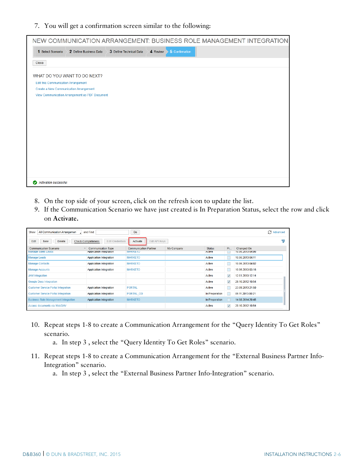#### 7. You will get a confirmation screen similar to the following:

| NEW COMMUNICATION ARRANGEMENT: BUSINESS ROLE MANAGEMENT INTEGRATION                                  |
|------------------------------------------------------------------------------------------------------|
| 5 Confirmation<br>1 Select Scenario<br>2 Define Business Data<br>3 Define Technical Data<br>4 Review |
| Close                                                                                                |
| WHAT DO YOU WANT TO DO NEXT?                                                                         |
| <b>Edit this Communication Arrangement</b>                                                           |
| Create a New Communication Arrangement                                                               |
| View Communication Arrangement as PDF Document                                                       |
|                                                                                                      |
|                                                                                                      |
|                                                                                                      |
|                                                                                                      |
|                                                                                                      |
|                                                                                                      |
|                                                                                                      |
|                                                                                                      |
|                                                                                                      |
|                                                                                                      |
|                                                                                                      |
|                                                                                                      |
| Activation successful                                                                                |

- 8. On the top side of your screen, click on the refresh icon to update the list.
- 9. If the Communication Scenario we have just created is In Preparation Status, select the row and click on **Activate.**

| All Communication Arrangemen<br>Show<br>and Find                                            |                                                      | Go                                             |               |                                |              |                                | Advanced |  |
|---------------------------------------------------------------------------------------------|------------------------------------------------------|------------------------------------------------|---------------|--------------------------------|--------------|--------------------------------|----------|--|
| <b>Delete</b><br><b>Check Completeness</b><br><b>Edit Credentials</b><br>Edit<br><b>New</b> |                                                      | Activate                                       | Edit API Keys |                                |              |                                |          |  |
| <b>Communication Scenario</b><br><b>Manage Sales Leads</b>                                  | <b>Communication Type</b><br>Application Integration | <b>Communication Partner</b><br><b>MARKETO</b> | My Company    | <b>Status</b><br><b>Active</b> | Pr           | Changed On<br>10.06.2013 04:06 |          |  |
| <b>Manage Leads</b>                                                                         | <b>Application Integration</b>                       | <b>MARKETO</b>                                 |               | Active                         |              | 10.06.2013 04:11               |          |  |
| <b>Manage Contacts</b>                                                                      | <b>Application Integration</b>                       | <b>MARKETO</b>                                 |               | Active                         |              | 10.06.2013 04:02               |          |  |
| Manage Accounts                                                                             | Application Integration                              | <b>MARKETO</b>                                 |               | Active                         |              | 10.06.2013 03:16               |          |  |
| JAM Integration                                                                             |                                                      |                                                |               | Active                         | $\sqrt{}$    | 12.01.2013 12:14               |          |  |
| <b>Google Docs Integration</b>                                                              |                                                      |                                                |               | Active                         | $\checkmark$ | 29.10.2012 10:54               |          |  |
| <b>Customer Service Portal Integration</b>                                                  | <b>Application Integration</b>                       | <b>PORTAL</b>                                  |               | Active                         |              | 23.09.2013 21:50               |          |  |
| <b>Customer Service Portal Integration</b>                                                  | <b>Application Integration</b>                       | PORTAL_OD                                      |               | In Preparation                 |              | 09.11.2013 00:21               |          |  |
| <b>Business Role Management Integration</b>                                                 | <b>Application Integration</b>                       | <b>MARKETO</b>                                 |               | In Preparation                 |              | 14.08.2014 20:45               |          |  |
| Access documents via WebDAV                                                                 |                                                      |                                                |               | Active                         | $\checkmark$ | 29.10.2012 10:54               |          |  |

- 10. Repeat steps 1-8 to create a Communication Arrangement for the "Query Identity To Get Roles" scenario.
	- a. In step 3 , select the "Query Identity To Get Roles" scenario.
- 11. Repeat steps 1-8 to create a Communication Arrangement for the "External Business Partner Info-Integration" scenario.

a. In step 3 , select the "External Business Partner Info-Integration" scenario.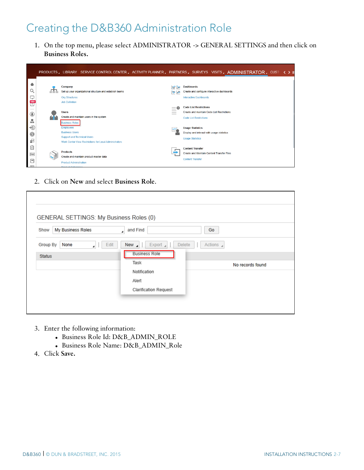### <span id="page-10-0"></span>Creating the D&B360 Administration Role

1. On the top menu, please select ADMINISTRATOR -> GENERAL SETTINGS and then click on **Business Roles.**

|                                                                                        |                                                                                                                          | PRODUCTS, LIBRARY SERVICE CONTROL CENTER, ACTIVITY PLANNER, PARTNERS, SURVEYS VISITS, ADMINISTRATOR, CUST () . |                                    |                   |                                                                                                                                                                                                                  |  |  |  |
|----------------------------------------------------------------------------------------|--------------------------------------------------------------------------------------------------------------------------|----------------------------------------------------------------------------------------------------------------|------------------------------------|-------------------|------------------------------------------------------------------------------------------------------------------------------------------------------------------------------------------------------------------|--|--|--|
| e<br>Q<br>Q<br>$100 +$<br>w                                                            | Company<br><b>Org Structures</b><br><b>Job Definition</b>                                                                | Set up your organizational structure and establish teams                                                       | l×.                                | <b>Dashboards</b> | Create and configure interactive dashboards<br><b>Interactive Dashboards</b>                                                                                                                                     |  |  |  |
| $\overline{\phantom{a}}$<br>C<br>A<br>$\rightarrow \mathbb{S}$<br>$\circledcirc$<br>g- | <b>Users</b><br><b>Business Roles</b><br><b>Employees</b><br><b>Business Users</b><br><b>Support and Technical Users</b> | Create and maintain users in the system<br>Work Center View Restrictions for Local Administrators              | =0<br>$\frac{1}{2}$<br>$\sim$<br>ᄽ |                   | <b>Code List Restrictions</b><br>Create and maintain Code List Restrictions<br><b>Code List Restrictions</b><br><b>Usage Statistics</b><br>Display and interact with usage statistics<br><b>Usage Statistics</b> |  |  |  |
| 뛬<br>這<br>Ð<br>$\sqrt{e-1}$                                                            | <b>Products</b><br><b>Product Administration</b><br><b>Deadline Onlineate</b>                                            | Create and maintain product master data                                                                        |                                    |                   | <b>Content Transfer</b><br>Create and Maintain Content Transfer Files<br><b>Content Transfer</b>                                                                                                                 |  |  |  |

2. Click on **New** and select **Business Role**.

| My Business Roles<br>Show     | and Find                                        | Go               |
|-------------------------------|-------------------------------------------------|------------------|
|                               | ٠                                               |                  |
| Edit<br>Group By<br>None<br>◢ | Export $\overline{A}$<br><b>Delete</b><br>New 4 | Actions 4        |
| <b>Status</b>                 | <b>Business Role</b>                            |                  |
|                               | Task                                            | No records found |
|                               | Notification                                    |                  |
|                               | Alert                                           |                  |
|                               | <b>Clarification Request</b>                    |                  |

- 3. Enter the following information:
	- Business Role Id: D&B\_ADMIN\_ROLE
	- Business Role Name: D&B\_ADMIN\_Role
- 4. Click **Save.**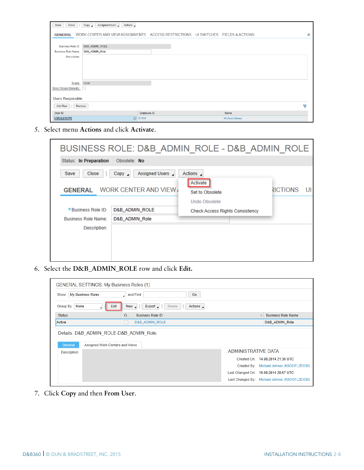| Close<br>Save              | Assigned Users 4<br>Actions 4<br>Copy <sub>4</sub>                                |             |  |                       |   |  |
|----------------------------|-----------------------------------------------------------------------------------|-------------|--|-----------------------|---|--|
| <b>GENERAL</b>             | WORK CENTER AND VIEW ASSIGNMENTS ACCESS RESTRICTIONS UI SWITCHES FIELDS & ACTIONS |             |  |                       | 言 |  |
|                            |                                                                                   |             |  |                       |   |  |
| <b>Business Role ID:</b>   | D&B_ADMIN_ROLE                                                                    |             |  |                       |   |  |
| <b>Business Role Name:</b> | D&B_ADMIN_Role                                                                    |             |  |                       |   |  |
| Description:               |                                                                                   |             |  |                       |   |  |
|                            |                                                                                   |             |  |                       |   |  |
|                            |                                                                                   |             |  |                       |   |  |
|                            |                                                                                   |             |  |                       |   |  |
|                            |                                                                                   |             |  |                       |   |  |
| Scope:                     | Local                                                                             |             |  |                       |   |  |
| Select Scope Manually:     |                                                                                   |             |  |                       |   |  |
|                            |                                                                                   |             |  |                       |   |  |
| <b>Users Responsible</b>   |                                                                                   |             |  |                       |   |  |
| <b>Add Row</b><br>Remove   |                                                                                   |             |  |                       | ╦ |  |
| User ID                    |                                                                                   | Employee ID |  | Name                  |   |  |
| <b>USSALESOPS</b>          | <b>□ E1009</b>                                                                    |             |  | <b>Michael Johnes</b> |   |  |

5. Select menu **Actions** and click **Activate**.

|                                 |                                                           | BUSINESS ROLE: D&B ADMIN ROLE - D&B ADMIN ROLE |          |  |
|---------------------------------|-----------------------------------------------------------|------------------------------------------------|----------|--|
| Status: In Preparation          | Obsolete: No                                              |                                                |          |  |
| Save<br>Close<br><b>GENERAL</b> | Assigned Users<br>$Copy \; \; \;$<br>WORK CENTER AND VIEW | Actions 4<br>Activate<br>Set to Obsolete       | RICTIONS |  |
|                                 |                                                           | Undo Obsolete                                  |          |  |
| *Business Role ID:              | <b>D&amp;B ADMIN ROLE</b>                                 | <b>Check Access Rights Consistency</b>         |          |  |
| <b>Business Role Name:</b>      | D&B ADMIN Role                                            |                                                |          |  |
| Description:                    |                                                           |                                                |          |  |

6. Select the **D&B\_ADMIN\_ROLE** row and click **Edit.**

| <b>GENERAL SETTINGS: My Business Roles (1)</b>                                       |                                                            |                                               |
|--------------------------------------------------------------------------------------|------------------------------------------------------------|-----------------------------------------------|
| My Business Roles<br>Show                                                            | and Find<br>Go                                             |                                               |
| None<br>Group By<br>Edit<br>$\overline{a}$                                           | Actions 4<br>Export <sub>4</sub><br><b>Delete</b><br>New 4 |                                               |
| <b>Status</b>                                                                        | <b>Business Role ID</b><br>O                               | <b>Business Role Name</b>                     |
| Active                                                                               | <b>D&amp;B ADMIN ROLE</b>                                  | D&B ADMIN Role                                |
| Details: D&B ADMIN ROLE-D&B ADMIN Role<br>Assigned Work Centers and Views<br>General |                                                            |                                               |
| Description:                                                                         | ADMINISTRATIVE DATA                                        |                                               |
|                                                                                      |                                                            | Created On: 14.08.2014 21:36 UTC              |
|                                                                                      |                                                            | Created By: Michael Johnes (K8OGFLZEIOB)      |
|                                                                                      |                                                            | Last Changed On: 18.08.2014 20:57 UTC         |
|                                                                                      |                                                            | Last Changed By: Michael Johnes (K8OGFLZEIOB) |

7. Click **Copy** and then **From User**.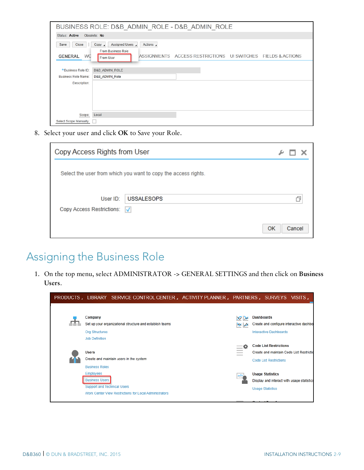|                                                  | BUSINESS ROLE: D&B ADMIN ROLE - D&B ADMIN ROLE                                                                                           |  |  |  |  |
|--------------------------------------------------|------------------------------------------------------------------------------------------------------------------------------------------|--|--|--|--|
| Status: Active                                   | Obsolete: No                                                                                                                             |  |  |  |  |
| Close<br>Save<br>WC<br><b>GENERAL</b>            | Assigned Users<br>Copy 4<br>Actions 4<br>From Business Role<br>ASSIGNMENTS ACCESS RESTRICTIONS UI SWITCHES FIELDS & ACTIONS<br>From User |  |  |  |  |
| *Business Role ID:<br><b>Business Role Name:</b> | <b>D&amp;B ADMIN ROLE</b><br>D&B ADMIN Role                                                                                              |  |  |  |  |
| Description:                                     |                                                                                                                                          |  |  |  |  |
| Scope:                                           | Local                                                                                                                                    |  |  |  |  |
| Select Scope Manually:                           |                                                                                                                                          |  |  |  |  |

8. Select your user and click **OK** to Save your Role.

|                                         | Copy Access Rights from User                                   |              |  |
|-----------------------------------------|----------------------------------------------------------------|--------------|--|
|                                         | Select the user from which you want to copy the access rights. |              |  |
| User ID:<br>Copy Access Restrictions: V | <b>USSALESOPS</b>                                              |              |  |
|                                         |                                                                | OK<br>Cancel |  |

### <span id="page-12-0"></span>Assigning the Business Role

1. On the top menu, select ADMINISTRATOR -> GENERAL SETTINGS and then click on **Business Users**.

|                                                                                 |                                                          | PRODUCTS, LIBRARY SERVICE CONTROL CENTER, ACTIVITY PLANNER, PARTNERS, SURVEYS VISITS, |                                                                                                                                                                                                                                                                                                                                                                                                                                                                                   |                                                                                                                      |  |
|---------------------------------------------------------------------------------|----------------------------------------------------------|---------------------------------------------------------------------------------------|-----------------------------------------------------------------------------------------------------------------------------------------------------------------------------------------------------------------------------------------------------------------------------------------------------------------------------------------------------------------------------------------------------------------------------------------------------------------------------------|----------------------------------------------------------------------------------------------------------------------|--|
| Company<br><b>Org Structures</b>                                                | Set up your organizational structure and establish teams |                                                                                       |                                                                                                                                                                                                                                                                                                                                                                                                                                                                                   | <b>Dashboards</b><br>Create and configure interactive dashbo<br><b>Interactive Dashboards</b>                        |  |
| <b>Job Definition</b><br><b>Users</b><br><b>Business Roles</b>                  | Create and maintain users in the system                  |                                                                                       | $\frac{1}{2} \left( \frac{1}{2} \right) \left( \frac{1}{2} \right) \left( \frac{1}{2} \right) \left( \frac{1}{2} \right) \left( \frac{1}{2} \right) \left( \frac{1}{2} \right) \left( \frac{1}{2} \right) \left( \frac{1}{2} \right) \left( \frac{1}{2} \right) \left( \frac{1}{2} \right) \left( \frac{1}{2} \right) \left( \frac{1}{2} \right) \left( \frac{1}{2} \right) \left( \frac{1}{2} \right) \left( \frac{1}{2} \right) \left( \frac{1}{2} \right) \left( \frac$<br>$-$ | <b>Code List Restrictions</b><br>Create and maintain Code List Restrictio<br><b>Code List Restrictions</b>           |  |
| <b>Employees</b><br><b>Business Users</b><br><b>Support and Technical Users</b> | Work Center View Restrictions for Local Administrators   |                                                                                       |                                                                                                                                                                                                                                                                                                                                                                                                                                                                                   | <b>Usage Statistics</b><br>Display and interact with usage statistics<br><b>Usage Statistics</b><br>Contant Transfer |  |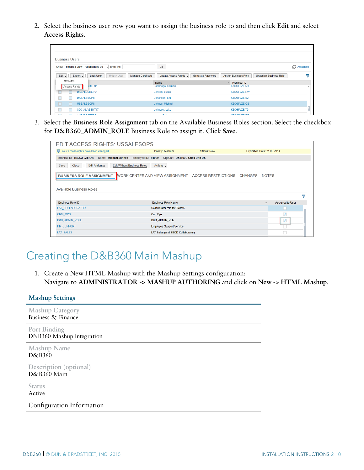2. Select the business user row you want to assign the business role to and then click **Edit** and select **Access Rights**.

|                     | <b>Business Users</b> |                                                                        |                                           |                                                              |          |
|---------------------|-----------------------|------------------------------------------------------------------------|-------------------------------------------|--------------------------------------------------------------|----------|
| Show                |                       | Modified View - All Business Us<br>and Find                            | Go                                        |                                                              | Advanced |
| Edit $\blacksquare$ |                       | Export<br><b>Unlock User</b><br>Manage Certificate<br><b>Lock User</b> | Update Access Rights<br>Generate Password | <b>Assign Business Role</b><br><b>Unassign Business Role</b> | 7        |
|                     | Attributes            |                                                                        | Name                                      | <b>Technical ID</b><br>$\tilde{=}$                           |          |
|                     | Access Rights         | SREP05                                                                 | Jaramago, Claudia                         | K8OGFLZEIQ9                                                  |          |
|                     |                       | <b>DKSALESREP01</b>                                                    | Jensen, Lukas                             | <b>K8OGFLZEIRW</b>                                           |          |
|                     |                       | <b>DKSALESOPS</b>                                                      | Johansen, Emil                            | K8OGFLZEIS2                                                  |          |
|                     |                       | <b>USSALESOPS</b>                                                      | Johnes, Michael                           | K8OGFLZEIOB                                                  |          |
|                     |                       | SOCIALAGENT17                                                          | Johnson, Luke                             | K8OGFLZEIT0                                                  |          |
|                     | $\frac{1}{2}$         | <b>ALIMAL PODERAL</b>                                                  | <b>COLLA</b>                              | <b>CARDON TRUNK</b>                                          |          |

3. Select the **Business Role Assignment** tab on the Available Business Roles section. Select the checkbox for **D&B360\_ADMIN\_ROLE** Business Role to assign it. Click **Save**.

| <b>EDIT ACCESS RIGHTS: USSALESOPS</b>                                         |                                      |                                                             |                              |
|-------------------------------------------------------------------------------|--------------------------------------|-------------------------------------------------------------|------------------------------|
| Your access rights have been changed                                          | Priority: Medium                     | <b>Status: New</b>                                          | Expiration Date: 21.08.2014  |
| Technical ID: K8OGFLZEIOB Name: Michael Johnes<br>Employee ID: E1009          | Org Unit: US1100 - Sales Unit US     |                                                             |                              |
| <b>Edit Without Business Roles</b><br>Save<br>Close<br><b>Edit Attributes</b> | Actions 4                            |                                                             |                              |
| <b>BUSINESS ROLE ASSIGNMENT</b>                                               |                                      | WORK CENTER AND VIEW ASSIGNMENT ACCESS RESTRICTIONS CHANGES | <b>NOTES</b>                 |
|                                                                               |                                      |                                                             |                              |
| <b>Available Business Roles</b>                                               |                                      |                                                             |                              |
|                                                                               |                                      |                                                             | 7                            |
| <b>Business Role ID</b>                                                       | <b>Business Role Name</b>            |                                                             | Assigned to User<br>$\equiv$ |
| LAT COLLABORATOR                                                              | <b>Collaborator role for Tickets</b> |                                                             |                              |
| CRM OPS                                                                       | Crm Ops                              |                                                             |                              |
| <b>D&amp;B ADMIN ROLE</b>                                                     | D&B ADMIN Role                       |                                                             | $\blacktriangledown$         |
| <b>HR SUPPORT</b>                                                             | <b>Employee Support Service</b>      |                                                             |                              |
| LAT SALES                                                                     | LAT Sales (and SEOD Collaborator)    |                                                             |                              |

### <span id="page-13-0"></span>Creating the D&B360 Main Mashup

1. Create a New HTML Mashup with the Mashup Settings configuration: Navigate to **ADMINISTRATOR -> MASHUP AUTHORING** and click on **New** -> **HTML Mashup**.

| <b>Mashup Settings</b>                           |
|--------------------------------------------------|
| <b>Mashup Category</b><br>Business & Finance     |
| <b>Port Binding</b><br>DNB360 Mashup Integration |
| <b>Mashup Name</b><br>D&B360                     |
| Description (optional)<br>D&B360 Main            |
| <b>Status</b><br>Active                          |
| Configuration Information                        |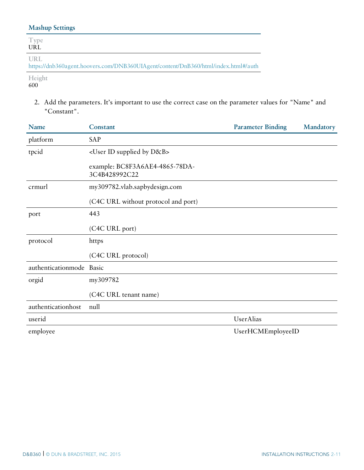#### **Mashup Settings**

| Type<br>URL                                                                               |
|-------------------------------------------------------------------------------------------|
| URL<br>https://dnb360agent.hoovers.com/DNB360UIAgent/content/DnB360/html/index.html#/auth |

**Height** 600

> 2. Add the parameters. It's important to use the correct case on the parameter values for "Name" and "Constant".

| Name                     | Constant                                        | <b>Parameter Binding</b> | Mandatory |
|--------------------------|-------------------------------------------------|--------------------------|-----------|
| platform                 | SAP                                             |                          |           |
| tpcid                    | <user by="" d&b="" id="" supplied=""></user>    |                          |           |
|                          | example: BC8F3A6AE4-4865-78DA-<br>3C4B428992C22 |                          |           |
| crmurl                   | my309782.vlab.sapbydesign.com                   |                          |           |
|                          | (C4C URL without protocol and port)             |                          |           |
| port                     | 443                                             |                          |           |
|                          | (C4C URL port)                                  |                          |           |
| protocol                 | https                                           |                          |           |
|                          | (C4C URL protocol)                              |                          |           |
| authenticationmode Basic |                                                 |                          |           |
| orgid                    | my309782                                        |                          |           |
|                          | (C4C URL tenant name)                           |                          |           |
| authenticationhost       | null                                            |                          |           |
| userid                   |                                                 | UserAlias                |           |
| employee                 |                                                 | UserHCMEmployeeID        |           |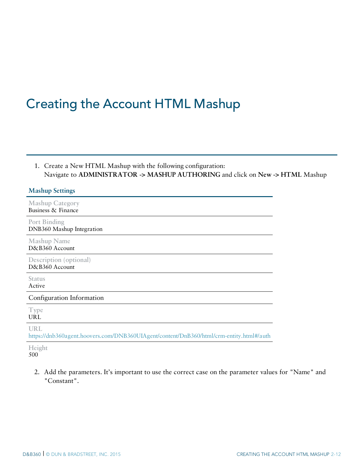## <span id="page-15-0"></span>Creating the Account HTML Mashup

| 1. Create a New HTML Mashup with the following configuration:                 |
|-------------------------------------------------------------------------------|
| Navigate to ADMINISTRATOR -> MASHUP AUTHORING and click on New -> HTML Mashup |

#### **Mashup Settings**

**Mashup Category** Business & Finance

**Port Binding** DNB360 Mashup Integration

**Mashup Name** D&B360 Account

**Description (optional)** D&B360 Account

**Status** Active

Configuration Information

**Type** URL

**URL**

<https://dnb360agent.hoovers.com/DNB360UIAgent/content/DnB360/html/crm-entity.html#/auth>

**Height** 500

> 2. Add the parameters. It's important to use the correct case on the parameter values for "Name" and "Constant".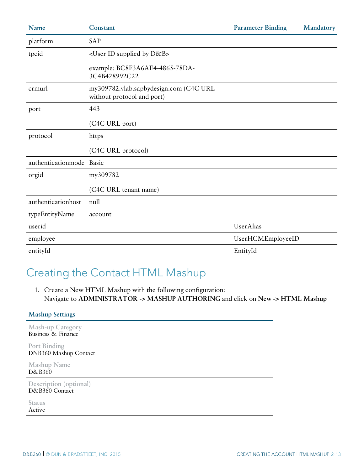| Name                     | Constant                                                             | <b>Parameter Binding</b> | Mandatory |
|--------------------------|----------------------------------------------------------------------|--------------------------|-----------|
| platform                 | SAP                                                                  |                          |           |
| tpcid                    | <user by="" d&b="" id="" supplied=""></user>                         |                          |           |
|                          | example: BC8F3A6AE4-4865-78DA-<br>3C4B428992C22                      |                          |           |
| crmurl                   | my309782.vlab.sapbydesign.com (C4C URL<br>without protocol and port) |                          |           |
| port                     | 443                                                                  |                          |           |
|                          | (C4C URL port)                                                       |                          |           |
| protocol                 | https                                                                |                          |           |
|                          | (C4C URL protocol)                                                   |                          |           |
| authenticationmode Basic |                                                                      |                          |           |
| orgid                    | my309782                                                             |                          |           |
|                          | (C4C URL tenant name)                                                |                          |           |
| authenticationhost       | null                                                                 |                          |           |
| typeEntityName           | account                                                              |                          |           |
| userid                   |                                                                      | UserAlias                |           |
| employee                 |                                                                      | UserHCMEmployeeID        |           |
| entityId                 |                                                                      | EntityId                 |           |

### <span id="page-16-0"></span>Creating the Contact HTML Mashup

1. Create a New HTML Mashup with the following configuration: Navigate to **ADMINISTRATOR -> MASHUP AUTHORING** and click on **New -> HTML Mashup**

| <b>Mashup Settings</b>                        |
|-----------------------------------------------|
| <b>Mash-up Category</b><br>Business & Finance |
| Port Binding<br>DNB360 Mashup Contact         |
| <b>Mashup Name</b><br>D&B360                  |
| Description (optional)<br>D&B360 Contact      |
| <b>Status</b><br>Active                       |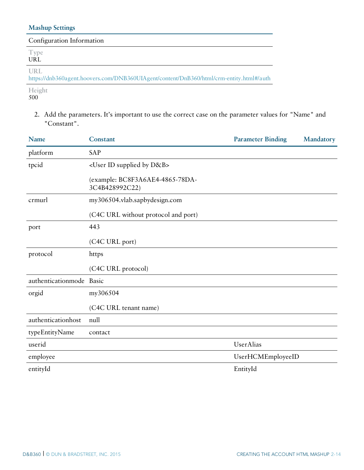#### **Mashup Settings**

| Configuration Information                                                                      |
|------------------------------------------------------------------------------------------------|
| <b>Type</b><br><b>URL</b>                                                                      |
| URL<br>https://dnb360agent.hoovers.com/DNB360UIAgent/content/DnB360/html/crm-entity.html#/auth |
| Height                                                                                         |

500

2. Add the parameters. It's important to use the correct case on the parameter values for "Name" and "Constant".

| Name                     | Constant                                          | <b>Parameter Binding</b> | Mandatory |
|--------------------------|---------------------------------------------------|--------------------------|-----------|
| platform                 | SAP                                               |                          |           |
| tpcid                    | <user by="" d&b="" id="" supplied=""></user>      |                          |           |
|                          | (example: BC8F3A6AE4-4865-78DA-<br>3C4B428992C22) |                          |           |
| crmurl                   | my306504.vlab.sapbydesign.com                     |                          |           |
|                          | (C4C URL without protocol and port)               |                          |           |
| port                     | 443                                               |                          |           |
|                          | (C4C URL port)                                    |                          |           |
| protocol                 | https                                             |                          |           |
|                          | (C4C URL protocol)                                |                          |           |
| authenticationmode Basic |                                                   |                          |           |
| orgid                    | my306504                                          |                          |           |
|                          | (C4C URL tenant name)                             |                          |           |
| authenticationhost       | null                                              |                          |           |
| typeEntityName           | contact                                           |                          |           |
| userid                   |                                                   | UserAlias                |           |
| employee                 |                                                   | UserHCMEmployeeID        |           |
| entityId                 |                                                   | EntityId                 |           |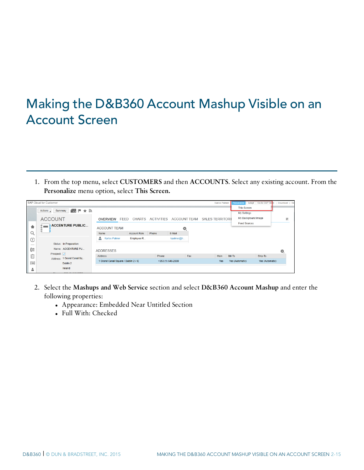## <span id="page-18-0"></span>Making the D&B360 Account Mashup Visible on an Account Screen

1. From the top menu, select **CUSTOMERS** and then **ACCOUNTS**. Select any existing account. From the **Personalize** menu option, select **This Screen.**

|                          | SAP Cloud for Customer                |                                      |                     |       |                   |     | Karlos Palmer                                   | Personalize         | Adapt   Go to SAP Store   Download   He |   |
|--------------------------|---------------------------------------|--------------------------------------|---------------------|-------|-------------------|-----|-------------------------------------------------|---------------------|-----------------------------------------|---|
|                          | Actions / Summary 4    ■ ★ ╗          |                                      |                     |       |                   |     |                                                 | <b>This Screen</b>  |                                         |   |
|                          |                                       |                                      |                     |       |                   |     |                                                 | My Settings         |                                         |   |
|                          | <b>ACCOUNT</b>                        | <b>OVERVIEW FEED</b>                 |                     |       |                   |     | CHARTS ACTIVITIES ACCOUNT TEAM SALES TERRITORII | My Background Image |                                         | 言 |
|                          | <b>ACCENTURE PUBLIC</b>               |                                      |                     |       |                   |     |                                                 | <b>Feed Sources</b> |                                         |   |
|                          | ÷                                     | <b>ACCOUNT TEAM</b>                  |                     |       | 48,               |     |                                                 |                     |                                         |   |
| Q.                       |                                       | Name                                 | <b>Account Role</b> | Phone | E-Mail            |     |                                                 |                     |                                         |   |
| ⊕                        |                                       | ż.<br><b>Karlos Palmer</b>           | Employee R          |       | kpalmer@h         |     |                                                 |                     |                                         |   |
| $\overline{\phantom{a}}$ | Status: In Preparation                |                                      |                     |       |                   |     |                                                 |                     |                                         |   |
| Œ                        | Name: ACCENTURE PU                    | <b>ADDRESSES</b>                     |                     |       |                   |     |                                                 |                     |                                         | ۰ |
| û                        | Prospect: V                           | <b>Address</b>                       |                     | Phone |                   | Fax | Main                                            | Bill-To             | Ship-To                                 |   |
| 彊                        | Address: 1 Grand Canal Sq<br>Dublin 2 | 1 Grand Canal Square / Dublin 2 / IE |                     |       | +353 (1) 646-2000 |     | Yes                                             | Yes (Automatic)     | Yes (Automatic)                         |   |
|                          | Ireland                               |                                      |                     |       |                   |     |                                                 |                     |                                         |   |
| å.                       |                                       |                                      |                     |       |                   |     |                                                 |                     |                                         |   |

- 2. Select the **Mashups and Web Service** section and select **D&B360 Account Mashup** and enter the following properties:
	- Appearance: Embedded Near Untitled Section
	- Full With: Checked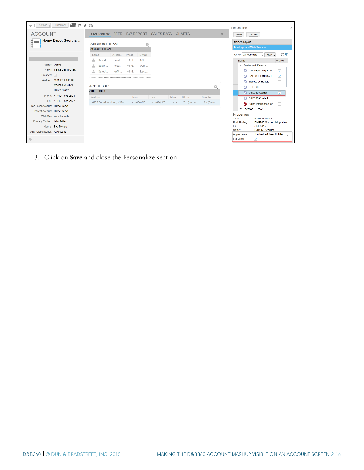| Actions 4<br>▭                                                                              | 画<br>Summary<br>F.L                                 | ר∈ ★                                       |               |                                    |                    |             |                              |                       | Personalize                                             |                                                                                      | $\times$                                           |
|---------------------------------------------------------------------------------------------|-----------------------------------------------------|--------------------------------------------|---------------|------------------------------------|--------------------|-------------|------------------------------|-----------------------|---------------------------------------------------------|--------------------------------------------------------------------------------------|----------------------------------------------------|
| <b>ACCOUNT</b>                                                                              |                                                     | <b>OVERVIEW</b>                            | <b>FEED</b>   | BW REPORT SALES DATA CHARTS        |                    |             |                              | 言                     | Save                                                    | <b>Discard</b>                                                                       |                                                    |
|                                                                                             | Home Depot Georgia                                  | <b>ACCOUNT TEAM</b><br><b>ACCOUNT TEAM</b> |               | ο,                                 |                    |             |                              |                       | <b>Screen Layout</b><br><b>Mashups and Web Services</b> |                                                                                      |                                                    |
|                                                                                             |                                                     | Name<br>a.<br>Bob M                        | Accou<br>Empl | Phone<br>E-Mail<br>$+1$ (6<br>USS  |                    |             |                              |                       | Show: All Mashups<br>Name                               | New .                                                                                | $C\nabla$<br>Visible                               |
| Status: Active<br>Prospect:                                                                 | Name: Home Depot Geor<br>Address: 4635 Presidential | Eddie<br>Kate J                            | Acco<br>KAM   | $+1$ (6<br>Admi<br>$+1(4$<br>kiaco |                    |             |                              |                       | ര                                                       | ▼ Business & Finance<br>BW Report Days Sal<br>SALES INFORMATI                        | $\overline{\mathbf{v}}$<br>$\overline{\mathsf{v}}$ |
|                                                                                             | Macon GA 31206<br><b>United States</b>              | <b>ADDRESSES</b><br><b>ADDRESSES</b>       |               |                                    |                    |             |                              | 亳                     | ⊙                                                       | <b>Tweets by Handle</b><br>D&B360<br>D&B360 Account                                  | M                                                  |
| Top Level Account: Home Depot                                                               | Phone: +1 (404) 676-2121<br>Fax: +1 (404) 676-2122  | Address<br>4635 Presidential Way / Mac     |               | Phone<br>$+1(404)$ 67              | Fax<br>$+1(404)67$ | Main<br>Yes | <b>Bill-To</b><br>Yes (Autom | Ship-To<br>Yes (Autom | ⊙                                                       | D&B360 Contact<br>Sales Intelligence for<br>Location & Travel                        |                                                    |
| Parent Account: Home Depot<br>Primary Contact: John Miller<br>ABC Classification: A-Account | Web Site: www.homede<br>Owner: Bob Menson           |                                            |               |                                    |                    |             |                              |                       | Properties<br>Type:<br>Port Binding:<br>ID<br>Name:     | <b>HTML Mashups</b><br><b>DNB360 Mashup Integration</b><br>CM00013<br>D&B360 Account |                                                    |
| $\Box$                                                                                      |                                                     |                                            |               |                                    |                    |             |                              |                       | Appearance:<br>Full Width:                              | <b>Embedded Near Untitlec</b><br>⊽                                                   |                                                    |

3. Click on **Save** and close the Personalize section.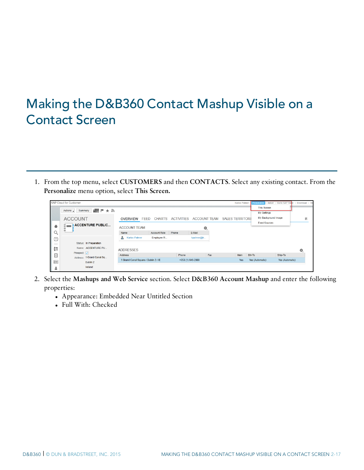## <span id="page-20-0"></span>Making the D&B360 Contact Mashup Visible on a Contact Screen

1. From the top menu, select **CUSTOMERS** and then **CONTACTS**. Select any existing contact. From the **Personalize** menu option, select **This Screen.**

|    | SAP Cloud for Customer                           |                                      |                       |                   |                     | <b>Karlos Palmer</b>    | <b>Personalize</b>  | Adapt   Go to SAP Store | Download   He |
|----|--------------------------------------------------|--------------------------------------|-----------------------|-------------------|---------------------|-------------------------|---------------------|-------------------------|---------------|
|    | Summary                                          |                                      |                       |                   |                     |                         | <b>This Screen</b>  |                         |               |
|    | ∰ ⊩ ★ ∌<br>Actions 4                             |                                      |                       |                   |                     |                         | My Settings         |                         |               |
|    | <b>ACCOUNT</b>                                   | <b>OVERVIEW</b>                      | CHARTS<br><b>FFFD</b> | <b>ACTIVITIES</b> | <b>ACCOUNT TEAM</b> | <b>SALES TERRITORIL</b> | My Background Image |                         | 言             |
|    | <b>ACCENTURE PUBLIC</b>                          |                                      |                       |                   |                     |                         | <b>Feed Sources</b> |                         |               |
|    | -                                                | <b>ACCOUNT TEAM</b>                  |                       |                   | ۰.                  |                         |                     |                         |               |
| u, |                                                  | Name                                 | <b>Account Role</b>   | Phone             | E-Mail              |                         |                     |                         |               |
| ⊕  |                                                  | £.<br><b>Karlos Palmer</b>           | Employee R            |                   | kpalmer@h           |                         |                     |                         |               |
| _  | Status: In Preparation                           |                                      |                       |                   |                     |                         |                     |                         |               |
| Œ  | Name: ACCENTURE PU                               | <b>ADDRESSES</b>                     |                       |                   |                     |                         |                     |                         | 烧             |
| 喧  | Prospect: V                                      | Address                              |                       | Phone             | Fax                 | Main                    | <b>Bill-To</b>      | Ship-To                 |               |
| 逼  | Address: 1 Grand Canal Sq<br>Dublin <sub>2</sub> | 1 Grand Canal Square / Dublin 2 / IE |                       |                   | +353 (1) 646-2000   | <b>Yes</b>              | Yes (Automatic)     | Yes (Automatic)         |               |
| ÷  | Ireland                                          |                                      |                       |                   |                     |                         |                     |                         |               |
|    |                                                  |                                      |                       |                   |                     |                         |                     |                         |               |

- 2. Select the **Mashups and Web Service** section. Select **D&B360 Account Mashup** and enter the following properties:
	- Appearance: Embedded Near Untitled Section
	- Full With: Checked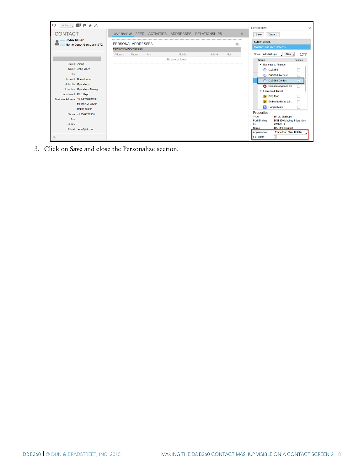

3. Click on **Save** and close the Personalize section.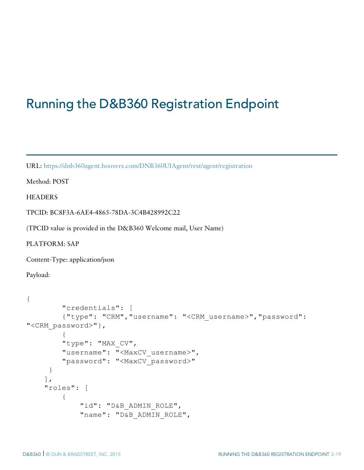## <span id="page-22-0"></span>Running the D&B360 Registration Endpoint

URL: <https://dnb360agent.hoovers.com/DNB360UIAgent/rest/agent/registration>

Method: POST

**HEADERS** 

TPCID: BC8F3A-6AE4-4865-78DA-3C4B428992C22

(TPCID value is provided in the D&B360 Welcome mail, User Name)

PLATFORM: SAP

Content-Type: application/json

Payload:

```
{
        "credentials": [
        {"type": "CRM","username": "<CRM_username>","password":
"<CRM_password>"},
        {
        "type": "MAX CV",
        "username": "<MaxCV username>",
        "password": "<MaxCV_password>"
     }
    \frac{1}{2},
    "roles": [
        {
             "id": "D&B ADMIN ROLE",
            "name": "D&B ADMIN ROLE",
```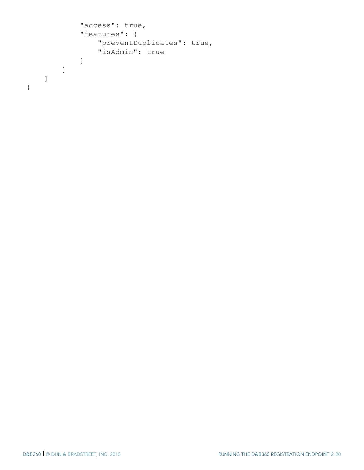```
"access": true,
           "features": {
               "preventDuplicates": true,
               "isAdmin": true
           }
      }
   ]
}
```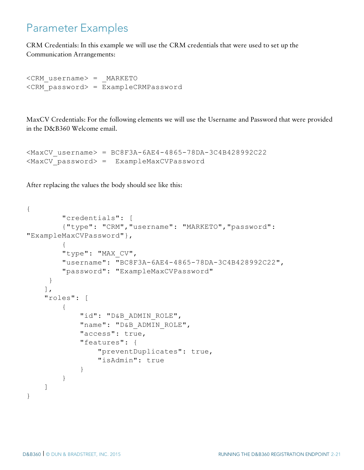### <span id="page-24-0"></span>Parameter Examples

CRM Credentials: In this example we will use the CRM credentials that were used to set up the Communication Arrangements:

```
<CRM_username> = _MARKETO
<CRM_password> = ExampleCRMPassword
```
MaxCV Credentials: For the following elements we will use the Username and Password that were provided in the D&B360 Welcome email.

```
<MaxCV_username> = BC8F3A-6AE4-4865-78DA-3C4B428992C22
<MaxCV_password> = ExampleMaxCVPassword
```
After replacing the values the body should see like this:

```
{
        "credentials": [
        {"type": "CRM","username": "MARKETO","password":
"ExampleMaxCVPassword"},
        {
        "type": "MAX CV",
        "username": "BC8F3A-6AE4-4865-78DA-3C4B428992C22",
        "password": "ExampleMaxCVPassword"
     }
    ],
    "roles": [
        {
            "id": "D&B ADMIN ROLE",
            "name": "D&B ADMIN ROLE",
            "access": true,
            "features": {
                "preventDuplicates": true,
                "isAdmin": true
            }
        }
    ]
}
```